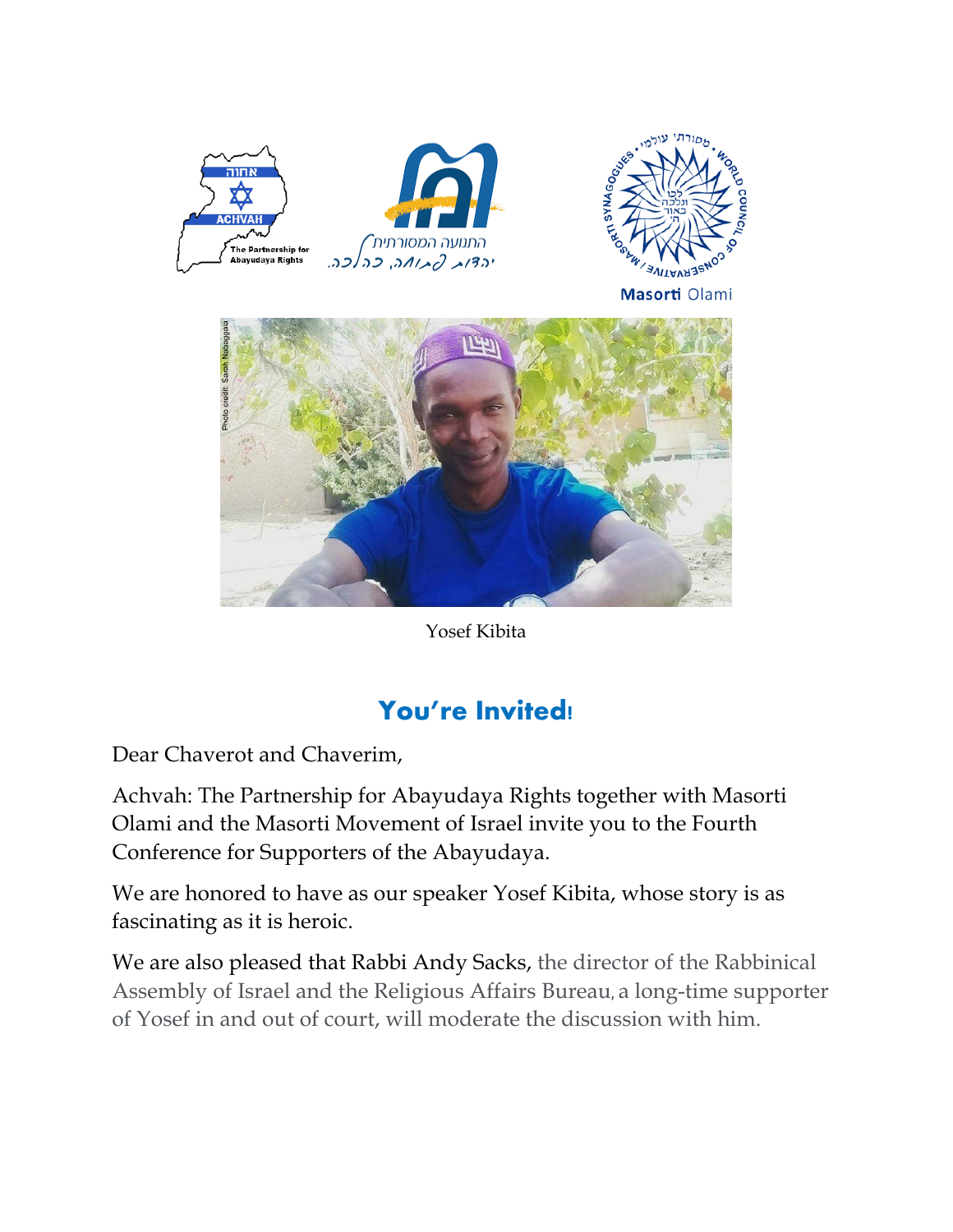



Yosef Kibita

## **You're Invited!**

Dear Chaverot and Chaverim,

Achvah: The Partnership for Abayudaya Rights together with Masorti Olami and the Masorti Movement of Israel invite you to the Fourth Conference for Supporters of the Abayudaya.

We are honored to have as our speaker Yosef Kibita, whose story is as fascinating as it is heroic.

We are also pleased that Rabbi Andy Sacks, the director of the Rabbinical Assembly of Israel and the Religious Affairs Bureau, a long-time supporter of Yosef in and out of court, will moderate the discussion with him.